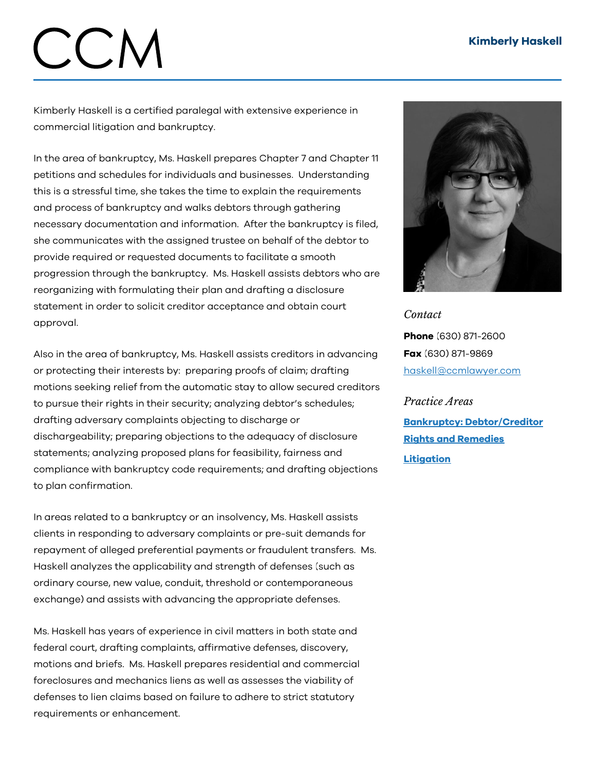## Kimberly Haskell

## CCN

Kimberly Haskell is a certified paralegal with extensive experience in commercial litigation and bankruptcy.

In the area of bankruptcy, Ms. Haskell prepares Chapter 7 and Chapter 11 petitions and schedules for individuals and businesses. Understanding this is a stressful time, she takes the time to explain the requirements and process of bankruptcy and walks debtors through gathering necessary documentation and information. After the bankruptcy is filed, she communicates with the assigned trustee on behalf of the debtor to provide required or requested documents to facilitate a smooth progression through the bankruptcy. Ms. Haskell assists debtors who are reorganizing with formulating their plan and drafting a disclosure statement in order to solicit creditor acceptance and obtain court approval.

Also in the area of bankruptcy, Ms. Haskell assists creditors in advancing or protecting their interests by: preparing proofs of claim; drafting motions seeking relief from the automatic stay to allow secured creditors to pursue their rights in their security; analyzing debtor's schedules; drafting adversary complaints objecting to discharge or dischargeability; preparing objections to the adequacy of disclosure statements; analyzing proposed plans for feasibility, fairness and compliance with bankruptcy code requirements; and drafting objections to plan confirmation.

In areas related to a bankruptcy or an insolvency, Ms. Haskell assists clients in responding to adversary complaints or pre-suit demands for repayment of alleged preferential payments or fraudulent transfers. Ms. Haskell analyzes the applicability and strength of defenses (such as ordinary course, new value, conduit, threshold or contemporaneous exchange) and assists with advancing the appropriate defenses.

Ms. Haskell has years of experience in civil matters in both state and federal court, drafting complaints, affirmative defenses, discovery, motions and briefs. Ms. Haskell prepares residential and commercial foreclosures and mechanics liens as well as assesses the viability of defenses to lien claims based on failure to adhere to strict statutory requirements or enhancement.



*Contact* Phone (630) 871-2600 Fax (630) 871-9869 [haskell@ccmlawyer.com](mailto:haskell@ccmlawyer.com)

*Practice Areas* Bankruptcy: [Debtor/Creditor](https://www.ccmlawyer.com/practice-areas/bankruptcy-debtor-and-creditor-rights-and-remedies/) Rights and Remedies

[Litigation](https://www.ccmlawyer.com/practice-areas/litigation/)